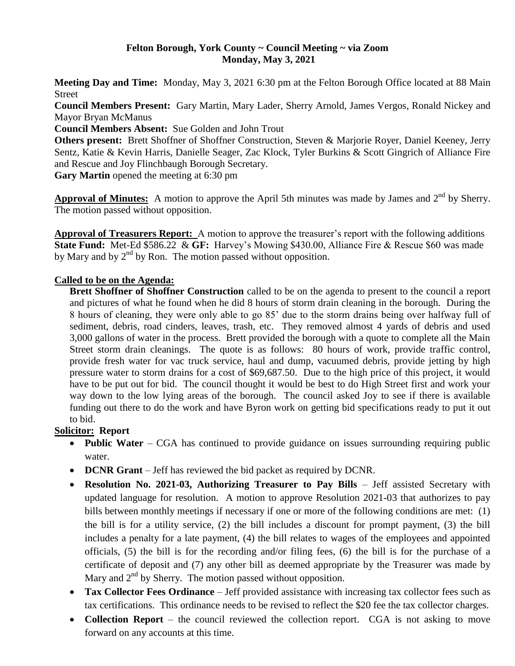#### **Felton Borough, York County ~ Council Meeting ~ via Zoom Monday, May 3, 2021**

**Meeting Day and Time:** Monday, May 3, 2021 6:30 pm at the Felton Borough Office located at 88 Main Street

**Council Members Present:** Gary Martin, Mary Lader, Sherry Arnold, James Vergos, Ronald Nickey and Mayor Bryan McManus

**Council Members Absent:** Sue Golden and John Trout

**Others present:** Brett Shoffner of Shoffner Construction, Steven & Marjorie Royer, Daniel Keeney, Jerry Sentz, Katie & Kevin Harris, Danielle Seager, Zac Klock, Tyler Burkins & Scott Gingrich of Alliance Fire and Rescue and Joy Flinchbaugh Borough Secretary.

**Gary Martin** opened the meeting at 6:30 pm

**Approval of Minutes:** A motion to approve the April 5th minutes was made by James and 2<sup>nd</sup> by Sherry. The motion passed without opposition.

**Approval of Treasurers Report:** A motion to approve the treasurer's report with the following additions **State Fund:** Met-Ed \$586.22 & **GF:** Harvey's Mowing \$430.00, Alliance Fire & Rescue \$60 was made by Mary and by  $2<sup>nd</sup>$  by Ron. The motion passed without opposition.

#### **Called to be on the Agenda:**

**Brett Shoffner of Shoffner Construction** called to be on the agenda to present to the council a report and pictures of what he found when he did 8 hours of storm drain cleaning in the borough. During the 8 hours of cleaning, they were only able to go 85' due to the storm drains being over halfway full of sediment, debris, road cinders, leaves, trash, etc. They removed almost 4 yards of debris and used 3,000 gallons of water in the process. Brett provided the borough with a quote to complete all the Main Street storm drain cleanings. The quote is as follows: 80 hours of work, provide traffic control, provide fresh water for vac truck service, haul and dump, vacuumed debris, provide jetting by high pressure water to storm drains for a cost of \$69,687.50. Due to the high price of this project, it would have to be put out for bid. The council thought it would be best to do High Street first and work your way down to the low lying areas of the borough. The council asked Joy to see if there is available funding out there to do the work and have Byron work on getting bid specifications ready to put it out to bid.

## **Solicitor: Report**

- **Public Water** CGA has continued to provide guidance on issues surrounding requiring public water.
- **DCNR Grant** Jeff has reviewed the bid packet as required by DCNR.
- **Resolution No. 2021-03, Authorizing Treasurer to Pay Bills** Jeff assisted Secretary with updated language for resolution. A motion to approve Resolution 2021-03 that authorizes to pay bills between monthly meetings if necessary if one or more of the following conditions are met: (1) the bill is for a utility service, (2) the bill includes a discount for prompt payment, (3) the bill includes a penalty for a late payment, (4) the bill relates to wages of the employees and appointed officials, (5) the bill is for the recording and/or filing fees, (6) the bill is for the purchase of a certificate of deposit and (7) any other bill as deemed appropriate by the Treasurer was made by Mary and  $2<sup>nd</sup>$  by Sherry. The motion passed without opposition.
- **Tax Collector Fees Ordinance** Jeff provided assistance with increasing tax collector fees such as tax certifications. This ordinance needs to be revised to reflect the \$20 fee the tax collector charges.
- **Collection Report** the council reviewed the collection report. CGA is not asking to move forward on any accounts at this time.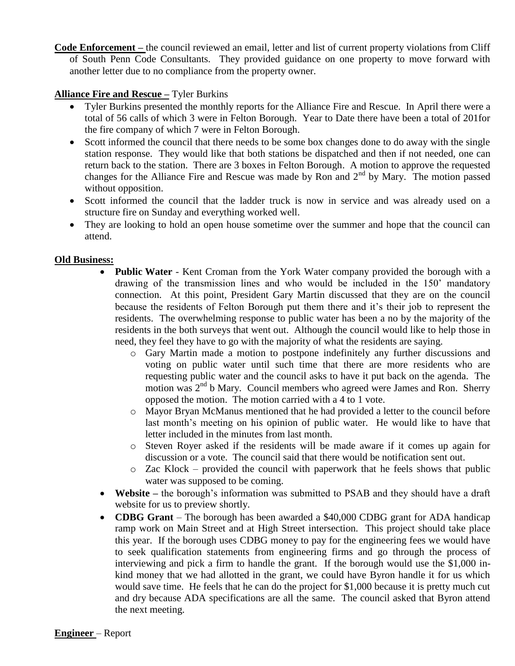**Code Enforcement –** the council reviewed an email, letter and list of current property violations from Cliff of South Penn Code Consultants. They provided guidance on one property to move forward with another letter due to no compliance from the property owner.

#### **Alliance Fire and Rescue –** Tyler Burkins

- Tyler Burkins presented the monthly reports for the Alliance Fire and Rescue. In April there were a total of 56 calls of which 3 were in Felton Borough. Year to Date there have been a total of 201for the fire company of which 7 were in Felton Borough.
- Scott informed the council that there needs to be some box changes done to do away with the single station response. They would like that both stations be dispatched and then if not needed, one can return back to the station. There are 3 boxes in Felton Borough. A motion to approve the requested changes for the Alliance Fire and Rescue was made by Ron and  $2<sup>nd</sup>$  by Mary. The motion passed without opposition.
- Scott informed the council that the ladder truck is now in service and was already used on a structure fire on Sunday and everything worked well.
- They are looking to hold an open house sometime over the summer and hope that the council can attend.

#### **Old Business:**

- **Public Water**  Kent Croman from the York Water company provided the borough with a drawing of the transmission lines and who would be included in the 150' mandatory connection. At this point, President Gary Martin discussed that they are on the council because the residents of Felton Borough put them there and it's their job to represent the residents. The overwhelming response to public water has been a no by the majority of the residents in the both surveys that went out. Although the council would like to help those in need, they feel they have to go with the majority of what the residents are saying.
	- o Gary Martin made a motion to postpone indefinitely any further discussions and voting on public water until such time that there are more residents who are requesting public water and the council asks to have it put back on the agenda. The motion was  $2<sup>nd</sup>$  b Mary. Council members who agreed were James and Ron. Sherry opposed the motion. The motion carried with a 4 to 1 vote.
	- o Mayor Bryan McManus mentioned that he had provided a letter to the council before last month's meeting on his opinion of public water. He would like to have that letter included in the minutes from last month.
	- o Steven Royer asked if the residents will be made aware if it comes up again for discussion or a vote. The council said that there would be notification sent out.
	- o Zac Klock provided the council with paperwork that he feels shows that public water was supposed to be coming.
- **Website –** the borough's information was submitted to PSAB and they should have a draft website for us to preview shortly.
- **CDBG Grant** The borough has been awarded a \$40,000 CDBG grant for ADA handicap ramp work on Main Street and at High Street intersection. This project should take place this year. If the borough uses CDBG money to pay for the engineering fees we would have to seek qualification statements from engineering firms and go through the process of interviewing and pick a firm to handle the grant. If the borough would use the \$1,000 inkind money that we had allotted in the grant, we could have Byron handle it for us which would save time. He feels that he can do the project for \$1,000 because it is pretty much cut and dry because ADA specifications are all the same. The council asked that Byron attend the next meeting.